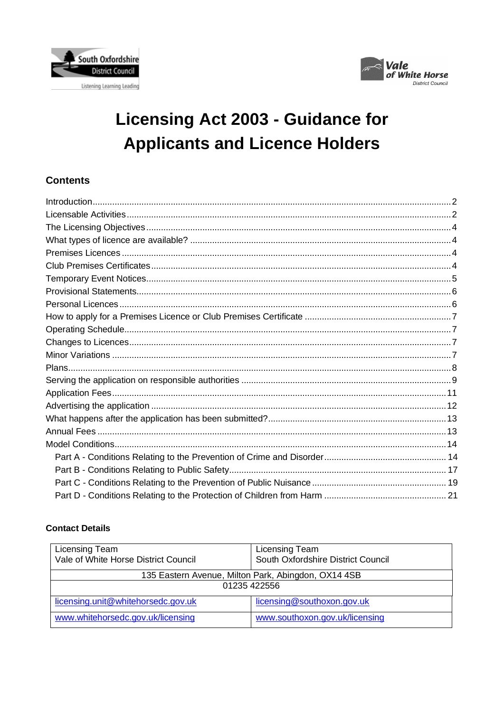



# **Licensing Act 2003 - Guidance for Applicants and Licence Holders**

# **Contents**

# **Contact Details**

| Licensing Team<br>Vale of White Horse District Council           | Licensing Team<br>South Oxfordshire District Council |  |  |  |
|------------------------------------------------------------------|------------------------------------------------------|--|--|--|
| 135 Eastern Avenue, Milton Park, Abingdon, OX14 4SB              |                                                      |  |  |  |
| 01235 422556                                                     |                                                      |  |  |  |
| licensing.unit@whitehorsedc.gov.uk<br>licensing@southoxon.gov.uk |                                                      |  |  |  |
| www.whitehorsedc.gov.uk/licensing                                | www.southoxon.gov.uk/licensing                       |  |  |  |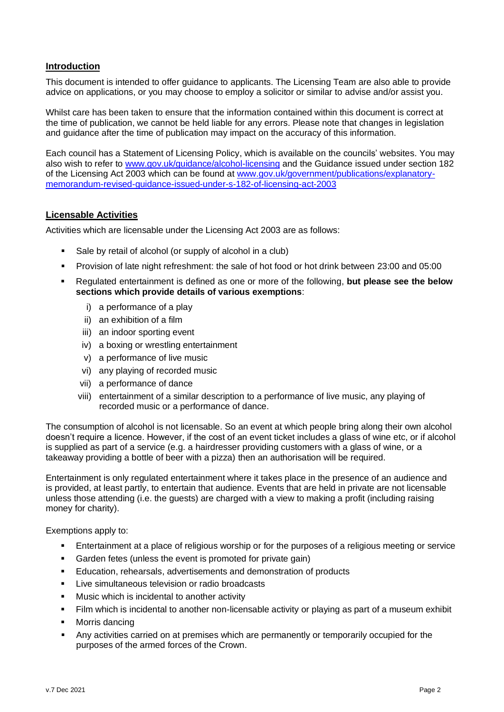#### <span id="page-1-0"></span>**Introduction**

This document is intended to offer guidance to applicants. The Licensing Team are also able to provide advice on applications, or you may choose to employ a solicitor or similar to advise and/or assist you.

Whilst care has been taken to ensure that the information contained within this document is correct at the time of publication, we cannot be held liable for any errors. Please note that changes in legislation and guidance after the time of publication may impact on the accuracy of this information.

Each council has a Statement of Licensing Policy, which is available on the councils' websites. You may also wish to refer to [www.gov.uk/guidance/alcohol-licensing](https://www.gov.uk/guidance/alcohol-licensing) and the Guidance issued under section 182 of the Licensing Act 2003 which can be found at [www.gov.uk/government/publications/explanatory](https://www.gov.uk/government/publications/explanatory-memorandum-revised-guidance-issued-under-s-182-of-licensing-act-2003)[memorandum-revised-guidance-issued-under-s-182-of-licensing-act-2003](https://www.gov.uk/government/publications/explanatory-memorandum-revised-guidance-issued-under-s-182-of-licensing-act-2003)

#### <span id="page-1-1"></span>**Licensable Activities**

Activities which are licensable under the Licensing Act 2003 are as follows:

- Sale by retail of alcohol (or supply of alcohol in a club)
- Provision of late night refreshment: the sale of hot food or hot drink between 23:00 and 05:00
- Regulated entertainment is defined as one or more of the following, **but please see the below sections which provide details of various exemptions**:
	- i) a performance of a play
	- ii) an exhibition of a film
	- iii) an indoor sporting event
	- iv) a boxing or wrestling entertainment
	- v) a performance of live music
	- vi) any playing of recorded music
	- vii) a performance of dance
	- viii) entertainment of a similar description to a performance of live music, any playing of recorded music or a performance of dance.

The consumption of alcohol is not licensable. So an event at which people bring along their own alcohol doesn't require a licence. However, if the cost of an event ticket includes a glass of wine etc, or if alcohol is supplied as part of a service (e.g. a hairdresser providing customers with a glass of wine, or a takeaway providing a bottle of beer with a pizza) then an authorisation will be required.

Entertainment is only regulated entertainment where it takes place in the presence of an audience and is provided, at least partly, to entertain that audience. Events that are held in private are not licensable unless those attending (i.e. the guests) are charged with a view to making a profit (including raising money for charity).

Exemptions apply to:

- Entertainment at a place of religious worship or for the purposes of a religious meeting or service
- Garden fetes (unless the event is promoted for private gain)
- Education, rehearsals, advertisements and demonstration of products
- Live simultaneous television or radio broadcasts
- Music which is incidental to another activity
- Film which is incidental to another non-licensable activity or playing as part of a museum exhibit
- Morris dancing
- Any activities carried on at premises which are permanently or temporarily occupied for the purposes of the armed forces of the Crown.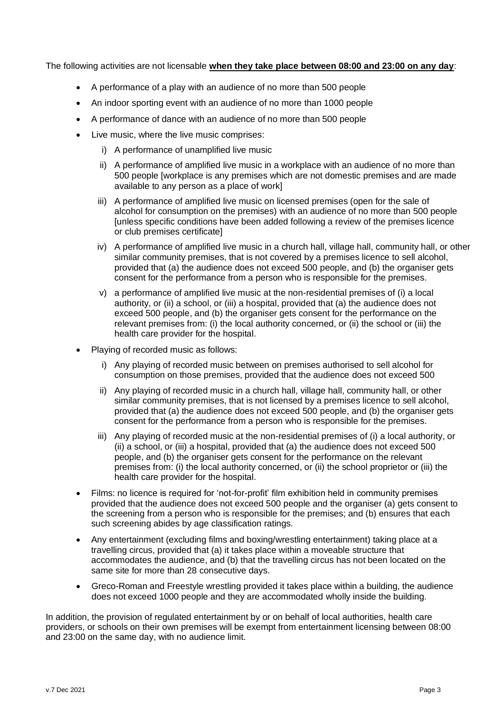The following activities are not licensable **when they take place between 08:00 and 23:00 on any day**:

- A performance of a play with an audience of no more than 500 people
- An indoor sporting event with an audience of no more than 1000 people
- A performance of dance with an audience of no more than 500 people
- Live music, where the live music comprises:
	- i) A performance of unamplified live music
	- ii) A performance of amplified live music in a workplace with an audience of no more than 500 people [workplace is any premises which are not domestic premises and are made available to any person as a place of work]
	- iii) A performance of amplified live music on licensed premises (open for the sale of alcohol for consumption on the premises) with an audience of no more than 500 people [unless specific conditions have been added following a review of the premises licence or club premises certificate]
	- iv) A performance of amplified live music in a church hall, village hall, community hall, or other similar community premises, that is not covered by a premises licence to sell alcohol, provided that (a) the audience does not exceed 500 people, and (b) the organiser gets consent for the performance from a person who is responsible for the premises.
	- v) a performance of amplified live music at the non-residential premises of (i) a local authority, or (ii) a school, or (iii) a hospital, provided that (a) the audience does not exceed 500 people, and (b) the organiser gets consent for the performance on the relevant premises from: (i) the local authority concerned, or (ii) the school or (iii) the health care provider for the hospital.
- Playing of recorded music as follows:
	- i) Any playing of recorded music between on premises authorised to sell alcohol for consumption on those premises, provided that the audience does not exceed 500
	- ii) Any playing of recorded music in a church hall, village hall, community hall, or other similar community premises, that is not licensed by a premises licence to sell alcohol, provided that (a) the audience does not exceed 500 people, and (b) the organiser gets consent for the performance from a person who is responsible for the premises.
	- iii) Any playing of recorded music at the non-residential premises of (i) a local authority, or (ii) a school, or (iii) a hospital, provided that (a) the audience does not exceed 500 people, and (b) the organiser gets consent for the performance on the relevant premises from: (i) the local authority concerned, or (ii) the school proprietor or (iii) the health care provider for the hospital.
- Films: no licence is required for 'not-for-profit' film exhibition held in community premises provided that the audience does not exceed 500 people and the organiser (a) gets consent to the screening from a person who is responsible for the premises; and (b) ensures that each such screening abides by age classification ratings.
- Any entertainment (excluding films and boxing/wrestling entertainment) taking place at a travelling circus, provided that (a) it takes place within a moveable structure that accommodates the audience, and (b) that the travelling circus has not been located on the same site for more than 28 consecutive days.
- Greco-Roman and Freestyle wrestling provided it takes place within a building, the audience does not exceed 1000 people and they are accommodated wholly inside the building.

In addition, the provision of regulated entertainment by or on behalf of local authorities, health care providers, or schools on their own premises will be exempt from entertainment licensing between 08:00 and 23:00 on the same day, with no audience limit.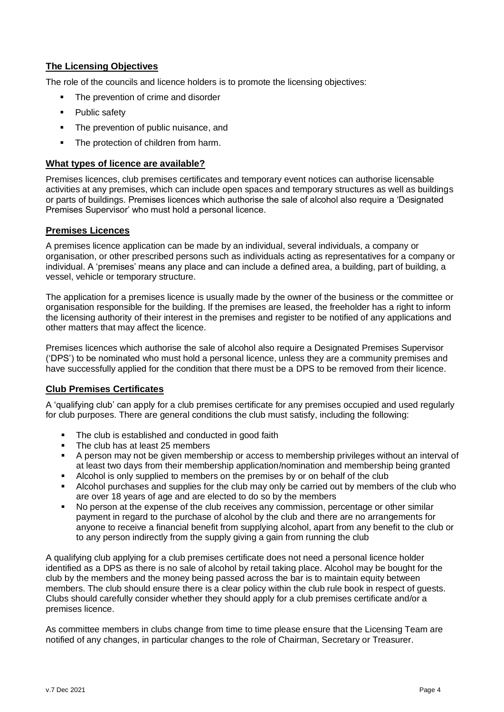# <span id="page-3-0"></span>**The Licensing Objectives**

The role of the councils and licence holders is to promote the licensing objectives:

- The prevention of crime and disorder
- Public safety
- The prevention of public nuisance, and
- The protection of children from harm.

### <span id="page-3-1"></span>**What types of licence are available?**

Premises licences, club premises certificates and temporary event notices can authorise licensable activities at any premises, which can include open spaces and temporary structures as well as buildings or parts of buildings. Premises licences which authorise the sale of alcohol also require a 'Designated Premises Supervisor' who must hold a personal licence.

#### <span id="page-3-2"></span>**Premises Licences**

A premises licence application can be made by an individual, several individuals, a company or organisation, or other prescribed persons such as individuals acting as representatives for a company or individual. A 'premises' means any place and can include a defined area, a building, part of building, a vessel, vehicle or temporary structure.

The application for a premises licence is usually made by the owner of the business or the committee or organisation responsible for the building. If the premises are leased, the freeholder has a right to inform the licensing authority of their interest in the premises and register to be notified of any applications and other matters that may affect the licence.

Premises licences which authorise the sale of alcohol also require a Designated Premises Supervisor ('DPS') to be nominated who must hold a personal licence, unless they are a community premises and have successfully applied for the condition that there must be a DPS to be removed from their licence.

# <span id="page-3-3"></span>**Club Premises Certificates**

A 'qualifying club' can apply for a club premises certificate for any premises occupied and used regularly for club purposes. There are general conditions the club must satisfy, including the following:

- The club is established and conducted in good faith
- The club has at least 25 members
- A person may not be given membership or access to membership privileges without an interval of at least two days from their membership application/nomination and membership being granted
- Alcohol is only supplied to members on the premises by or on behalf of the club
- Alcohol purchases and supplies for the club may only be carried out by members of the club who are over 18 years of age and are elected to do so by the members
- No person at the expense of the club receives any commission, percentage or other similar payment in regard to the purchase of alcohol by the club and there are no arrangements for anyone to receive a financial benefit from supplying alcohol, apart from any benefit to the club or to any person indirectly from the supply giving a gain from running the club

A qualifying club applying for a club premises certificate does not need a personal licence holder identified as a DPS as there is no sale of alcohol by retail taking place. Alcohol may be bought for the club by the members and the money being passed across the bar is to maintain equity between members. The club should ensure there is a clear policy within the club rule book in respect of guests. Clubs should carefully consider whether they should apply for a club premises certificate and/or a premises licence.

As committee members in clubs change from time to time please ensure that the Licensing Team are notified of any changes, in particular changes to the role of Chairman, Secretary or Treasurer.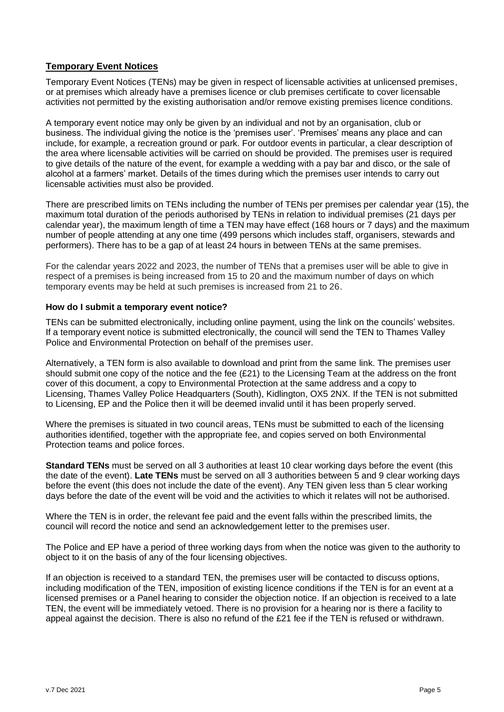## <span id="page-4-0"></span>**Temporary Event Notices**

Temporary Event Notices (TENs) may be given in respect of licensable activities at unlicensed premises, or at premises which already have a premises licence or club premises certificate to cover licensable activities not permitted by the existing authorisation and/or remove existing premises licence conditions.

A temporary event notice may only be given by an individual and not by an organisation, club or business. The individual giving the notice is the 'premises user'. 'Premises' means any place and can include, for example, a recreation ground or park. For outdoor events in particular, a clear description of the area where licensable activities will be carried on should be provided. The premises user is required to give details of the nature of the event, for example a wedding with a pay bar and disco, or the sale of alcohol at a farmers' market. Details of the times during which the premises user intends to carry out licensable activities must also be provided.

There are prescribed limits on TENs including the number of TENs per premises per calendar year (15), the maximum total duration of the periods authorised by TENs in relation to individual premises (21 days per calendar year), the maximum length of time a TEN may have effect (168 hours or 7 days) and the maximum number of people attending at any one time (499 persons which includes staff, organisers, stewards and performers). There has to be a gap of at least 24 hours in between TENs at the same premises.

For the calendar years 2022 and 2023, the number of TENs that a premises user will be able to give in respect of a premises is being increased from 15 to 20 and the maximum number of days on which temporary events may be held at such premises is increased from 21 to 26.

#### **How do I submit a temporary event notice?**

TENs can be submitted electronically, including online payment, using the link on the councils' websites. If a temporary event notice is submitted electronically, the council will send the TEN to Thames Valley Police and Environmental Protection on behalf of the premises user.

Alternatively, a TEN form is also available to download and print from the same link. The premises user should submit one copy of the notice and the fee  $(E21)$  to the Licensing Team at the address on the front cover of this document, a copy to Environmental Protection at the same address and a copy to Licensing, Thames Valley Police Headquarters (South), Kidlington, OX5 2NX. If the TEN is not submitted to Licensing, EP and the Police then it will be deemed invalid until it has been properly served.

Where the premises is situated in two council areas, TENs must be submitted to each of the licensing authorities identified, together with the appropriate fee, and copies served on both Environmental Protection teams and police forces.

**Standard TENs** must be served on all 3 authorities at least 10 clear working days before the event (this the date of the event). **Late TENs** must be served on all 3 authorities between 5 and 9 clear working days before the event (this does not include the date of the event). Any TEN given less than 5 clear working days before the date of the event will be void and the activities to which it relates will not be authorised.

Where the TEN is in order, the relevant fee paid and the event falls within the prescribed limits, the council will record the notice and send an acknowledgement letter to the premises user.

The Police and EP have a period of three working days from when the notice was given to the authority to object to it on the basis of any of the four licensing objectives.

If an objection is received to a standard TEN, the premises user will be contacted to discuss options, including modification of the TEN, imposition of existing licence conditions if the TEN is for an event at a licensed premises or a Panel hearing to consider the objection notice. If an objection is received to a late TEN, the event will be immediately vetoed. There is no provision for a hearing nor is there a facility to appeal against the decision. There is also no refund of the £21 fee if the TEN is refused or withdrawn.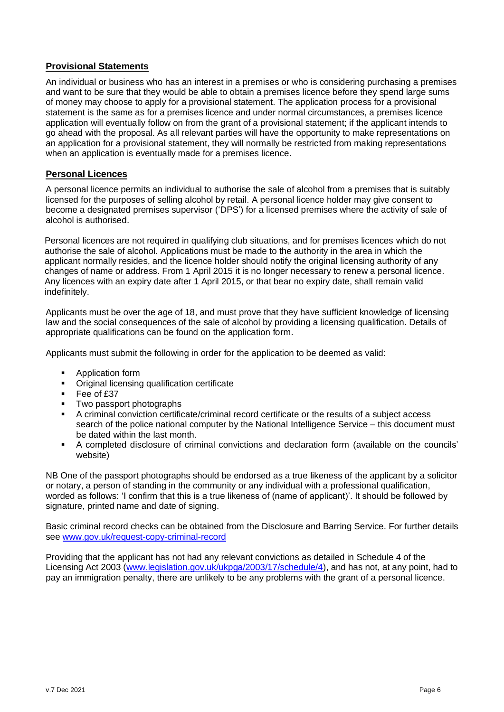### <span id="page-5-0"></span>**Provisional Statements**

An individual or business who has an interest in a premises or who is considering purchasing a premises and want to be sure that they would be able to obtain a premises licence before they spend large sums of money may choose to apply for a provisional statement. The application process for a provisional statement is the same as for a premises licence and under normal circumstances, a premises licence application will eventually follow on from the grant of a provisional statement; if the applicant intends to go ahead with the proposal. As all relevant parties will have the opportunity to make representations on an application for a provisional statement, they will normally be restricted from making representations when an application is eventually made for a premises licence.

#### <span id="page-5-1"></span>**Personal Licences**

A personal licence permits an individual to authorise the sale of alcohol from a premises that is suitably licensed for the purposes of selling alcohol by retail. A personal licence holder may give consent to become a designated premises supervisor ('DPS') for a licensed premises where the activity of sale of alcohol is authorised.

Personal licences are not required in qualifying club situations, and for premises licences which do not authorise the sale of alcohol. Applications must be made to the authority in the area in which the applicant normally resides, and the licence holder should notify the original licensing authority of any changes of name or address. From 1 April 2015 it is no longer necessary to renew a personal licence. Any licences with an expiry date after 1 April 2015, or that bear no expiry date, shall remain valid indefinitely.

Applicants must be over the age of 18, and must prove that they have sufficient knowledge of licensing law and the social consequences of the sale of alcohol by providing a licensing qualification. Details of appropriate qualifications can be found on the application form.

Applicants must submit the following in order for the application to be deemed as valid:

- Application form
- Original licensing qualification certificate
- Fee of £37
- Two passport photographs
- A criminal conviction certificate/criminal record certificate or the results of a subject access search of the police national computer by the National Intelligence Service – this document must be dated within the last month.
- A completed disclosure of criminal convictions and declaration form (available on the councils' website)

NB One of the passport photographs should be endorsed as a true likeness of the applicant by a solicitor or notary, a person of standing in the community or any individual with a professional qualification, worded as follows: 'I confirm that this is a true likeness of (name of applicant)'. It should be followed by signature, printed name and date of signing.

Basic criminal record checks can be obtained from the Disclosure and Barring Service. For further details see [www.gov.uk/request-copy-criminal-record](https://www.gov.uk/request-copy-criminal-record)

Providing that the applicant has not had any relevant convictions as detailed in Schedule 4 of the Licensing Act 2003 [\(www.legislation.gov.uk/ukpga/2003/17/schedule/4\)](http://www.legislation.gov.uk/ukpga/2003/17/schedule/4), and has not, at any point, had to pay an immigration penalty, there are unlikely to be any problems with the grant of a personal licence.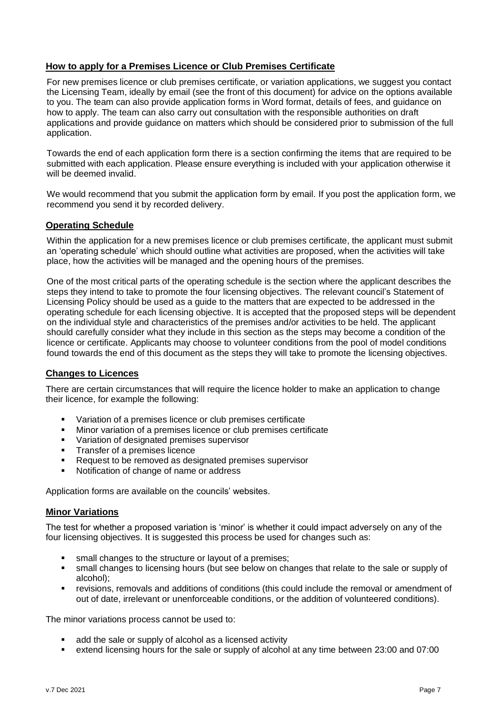## <span id="page-6-0"></span>**How to apply for a Premises Licence or Club Premises Certificate**

For new premises licence or club premises certificate, or variation applications, we suggest you contact the Licensing Team, ideally by email (see the front of this document) for advice on the options available to you. The team can also provide application forms in Word format, details of fees, and guidance on how to apply. The team can also carry out consultation with the responsible authorities on draft applications and provide guidance on matters which should be considered prior to submission of the full application.

Towards the end of each application form there is a section confirming the items that are required to be submitted with each application. Please ensure everything is included with your application otherwise it will be deemed invalid.

We would recommend that you submit the application form by email. If you post the application form, we recommend you send it by recorded delivery.

#### <span id="page-6-1"></span>**Operating Schedule**

Within the application for a new premises licence or club premises certificate, the applicant must submit an 'operating schedule' which should outline what activities are proposed, when the activities will take place, how the activities will be managed and the opening hours of the premises.

One of the most critical parts of the operating schedule is the section where the applicant describes the steps they intend to take to promote the four licensing objectives. The relevant council's Statement of Licensing Policy should be used as a guide to the matters that are expected to be addressed in the operating schedule for each licensing objective. It is accepted that the proposed steps will be dependent on the individual style and characteristics of the premises and/or activities to be held. The applicant should carefully consider what they include in this section as the steps may become a condition of the licence or certificate. Applicants may choose to volunteer conditions from the pool of model conditions found towards the end of this document as the steps they will take to promote the licensing objectives.

#### <span id="page-6-2"></span>**Changes to Licences**

There are certain circumstances that will require the licence holder to make an application to change their licence, for example the following:

- Variation of a premises licence or club premises certificate
- Minor variation of a premises licence or club premises certificate
- Variation of designated premises supervisor
- Transfer of a premises licence<br>■ Request to be removed as des
- Request to be removed as designated premises supervisor
- Notification of change of name or address

<span id="page-6-3"></span>Application forms are available on the councils' websites.

#### **Minor Variations**

The test for whether a proposed variation is 'minor' is whether it could impact adversely on any of the four licensing objectives. It is suggested this process be used for changes such as:

- small changes to the structure or layout of a premises;
- small changes to licensing hours (but see below on changes that relate to the sale or supply of alcohol);
- revisions, removals and additions of conditions (this could include the removal or amendment of out of date, irrelevant or unenforceable conditions, or the addition of volunteered conditions).

The minor variations process cannot be used to:

- add the sale or supply of alcohol as a licensed activity
- extend licensing hours for the sale or supply of alcohol at any time between 23:00 and 07:00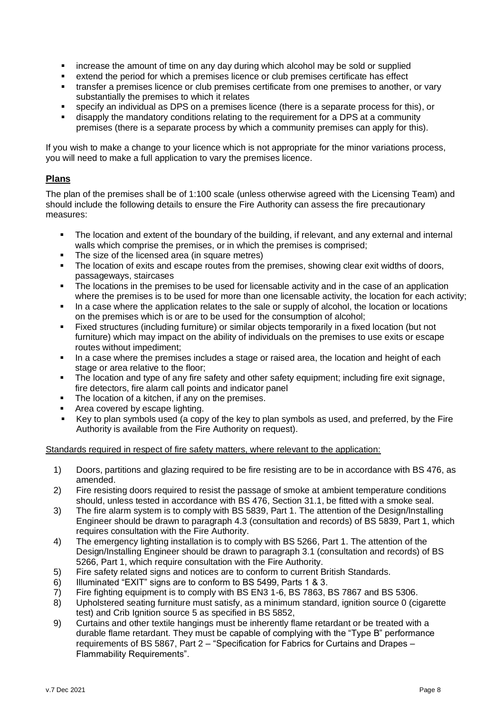- increase the amount of time on any day during which alcohol may be sold or supplied
- extend the period for which a premises licence or club premises certificate has effect
- **·** transfer a premises licence or club premises certificate from one premises to another, or vary substantially the premises to which it relates
- specify an individual as DPS on a premises licence (there is a separate process for this), or
- disapply the mandatory conditions relating to the requirement for a DPS at a community premises (there is a separate process by which a community premises can apply for this).

If you wish to make a change to your licence which is not appropriate for the minor variations process, you will need to make a full application to vary the premises licence.

## <span id="page-7-0"></span>**Plans**

The plan of the premises shall be of 1:100 scale (unless otherwise agreed with the Licensing Team) and should include the following details to ensure the Fire Authority can assess the fire precautionary measures:

- The location and extent of the boundary of the building, if relevant, and any external and internal walls which comprise the premises, or in which the premises is comprised;
- The size of the licensed area (in square metres)
- The location of exits and escape routes from the premises, showing clear exit widths of doors. passageways, staircases
- The locations in the premises to be used for licensable activity and in the case of an application where the premises is to be used for more than one licensable activity, the location for each activity;
- In a case where the application relates to the sale or supply of alcohol, the location or locations on the premises which is or are to be used for the consumption of alcohol;
- Fixed structures (including furniture) or similar objects temporarily in a fixed location (but not furniture) which may impact on the ability of individuals on the premises to use exits or escape routes without impediment;
- **■** In a case where the premises includes a stage or raised area, the location and height of each stage or area relative to the floor;
- The location and type of any fire safety and other safety equipment; including fire exit signage, fire detectors, fire alarm call points and indicator panel
- The location of a kitchen, if any on the premises.
- Area covered by escape lighting.
- Key to plan symbols used (a copy of the key to plan symbols as used, and preferred, by the Fire Authority is available from the Fire Authority on request).

Standards required in respect of fire safety matters, where relevant to the application:

- 1) Doors, partitions and glazing required to be fire resisting are to be in accordance with BS 476, as amended.
- 2) Fire resisting doors required to resist the passage of smoke at ambient temperature conditions should, unless tested in accordance with BS 476, Section 31.1, be fitted with a smoke seal.
- 3) The fire alarm system is to comply with BS 5839, Part 1. The attention of the Design/Installing Engineer should be drawn to paragraph 4.3 (consultation and records) of BS 5839, Part 1, which requires consultation with the Fire Authority.
- 4) The emergency lighting installation is to comply with BS 5266, Part 1. The attention of the Design/Installing Engineer should be drawn to paragraph 3.1 (consultation and records) of BS 5266, Part 1, which require consultation with the Fire Authority.
- 5) Fire safety related signs and notices are to conform to current British Standards.
- 6) Illuminated "EXIT" signs are to conform to BS 5499, Parts 1 & 3.
- 7) Fire fighting equipment is to comply with BS EN3 1-6, BS 7863, BS 7867 and BS 5306.
- 8) Upholstered seating furniture must satisfy, as a minimum standard, ignition source 0 (cigarette test) and Crib Ignition source 5 as specified in BS 5852,
- 9) Curtains and other textile hangings must be inherently flame retardant or be treated with a durable flame retardant. They must be capable of complying with the "Type B" performance requirements of BS 5867, Part 2 – "Specification for Fabrics for Curtains and Drapes – Flammability Requirements".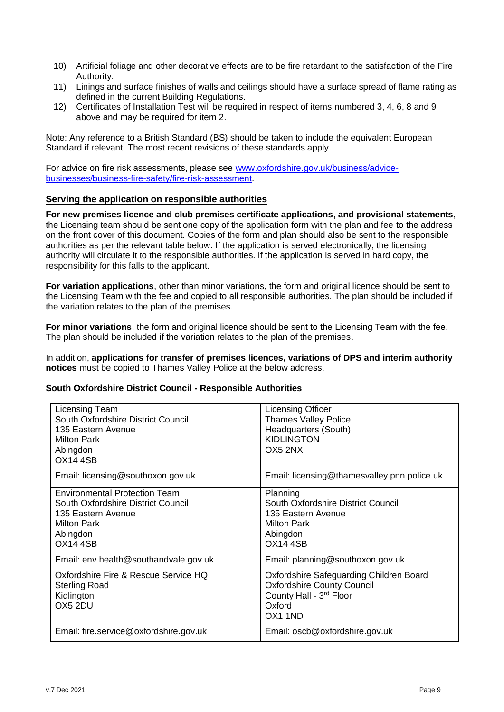- 10) Artificial foliage and other decorative effects are to be fire retardant to the satisfaction of the Fire Authority.
- 11) Linings and surface finishes of walls and ceilings should have a surface spread of flame rating as defined in the current Building Regulations.
- 12) Certificates of Installation Test will be required in respect of items numbered 3, 4, 6, 8 and 9 above and may be required for item 2.

Note: Any reference to a British Standard (BS) should be taken to include the equivalent European Standard if relevant. The most recent revisions of these standards apply.

For advice on fire risk assessments, please see [www.oxfordshire.gov.uk/business/advice](https://www.oxfordshire.gov.uk/business/advice-businesses/business-fire-safety/fire-risk-assessment)[businesses/business-fire-safety/fire-risk-assessment.](https://www.oxfordshire.gov.uk/business/advice-businesses/business-fire-safety/fire-risk-assessment)

#### <span id="page-8-0"></span>**Serving the application on responsible authorities**

**For new premises licence and club premises certificate applications, and provisional statements**, the Licensing team should be sent one copy of the application form with the plan and fee to the address on the front cover of this document. Copies of the form and plan should also be sent to the responsible authorities as per the relevant table below. If the application is served electronically, the licensing authority will circulate it to the responsible authorities. If the application is served in hard copy, the responsibility for this falls to the applicant.

**For variation applications**, other than minor variations, the form and original licence should be sent to the Licensing Team with the fee and copied to all responsible authorities. The plan should be included if the variation relates to the plan of the premises.

**For minor variations**, the form and original licence should be sent to the Licensing Team with the fee. The plan should be included if the variation relates to the plan of the premises.

In addition, **applications for transfer of premises licences, variations of DPS and interim authority notices** must be copied to Thames Valley Police at the below address.

# **South Oxfordshire District Council - Responsible Authorities**

| Licensing Team<br>South Oxfordshire District Council<br>135 Eastern Avenue<br>Milton Park<br>Abingdon<br><b>OX14 4SB</b>                                                                | <b>Licensing Officer</b><br><b>Thames Valley Police</b><br>Headquarters (South)<br><b>KIDLINGTON</b><br>OX5 2NX                                               |
|-----------------------------------------------------------------------------------------------------------------------------------------------------------------------------------------|---------------------------------------------------------------------------------------------------------------------------------------------------------------|
| Email: licensing@southoxon.gov.uk                                                                                                                                                       | Email: licensing@thamesvalley.pnn.police.uk                                                                                                                   |
| <b>Environmental Protection Team</b><br>South Oxfordshire District Council<br>135 Eastern Avenue<br>Milton Park<br>Abingdon<br><b>OX14 4SB</b><br>Email: env.health@southandvale.gov.uk | Planning<br>South Oxfordshire District Council<br>135 Eastern Avenue<br><b>Milton Park</b><br>Abingdon<br><b>OX14 4SB</b><br>Email: planning@southoxon.gov.uk |
| Oxfordshire Fire & Rescue Service HQ<br><b>Sterling Road</b><br>Kidlington<br>OX5 2DU                                                                                                   | Oxfordshire Safeguarding Children Board<br><b>Oxfordshire County Council</b><br>County Hall - 3rd Floor<br>Oxford<br>OX1 1ND                                  |
| Email: fire.service@oxfordshire.gov.uk                                                                                                                                                  | Email: oscb@oxfordshire.gov.uk                                                                                                                                |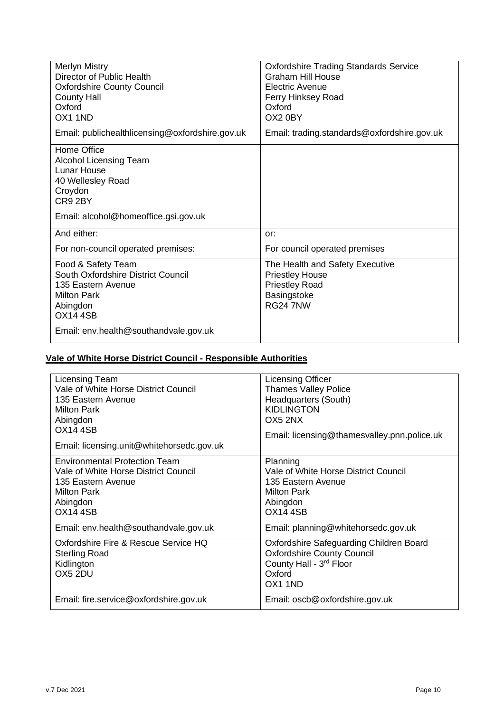| <b>Merlyn Mistry</b><br>Director of Public Health<br><b>Oxfordshire County Council</b><br><b>County Hall</b><br>Oxford<br>OX1 1ND              | <b>Oxfordshire Trading Standards Service</b><br><b>Graham Hill House</b><br>Electric Avenue<br>Ferry Hinksey Road<br>Oxford<br>OX2 0BY |
|------------------------------------------------------------------------------------------------------------------------------------------------|----------------------------------------------------------------------------------------------------------------------------------------|
| Email: publichealthlicensing@oxfordshire.gov.uk                                                                                                | Email: trading.standards@oxfordshire.gov.uk                                                                                            |
| Home Office<br>Alcohol Licensing Team<br><b>Lunar House</b><br>40 Wellesley Road<br>Croydon<br>CR9 2BY<br>Email: alcohol@homeoffice.gsi.gov.uk |                                                                                                                                        |
| And either:                                                                                                                                    | or:                                                                                                                                    |
| For non-council operated premises:                                                                                                             | For council operated premises                                                                                                          |
| Food & Safety Team<br>South Oxfordshire District Council<br>135 Eastern Avenue<br><b>Milton Park</b><br>Abingdon<br><b>OX14 4SB</b>            | The Health and Safety Executive<br><b>Priestley House</b><br><b>Priestley Road</b><br>Basingstoke<br><b>RG24 7NW</b>                   |
| Email: env.health@southandvale.gov.uk                                                                                                          |                                                                                                                                        |

# **Vale of White Horse District Council - Responsible Authorities**

| Licensing Team<br>Vale of White Horse District Council<br>135 Eastern Avenue<br><b>Milton Park</b><br>Abingdon<br><b>OX14 4SB</b><br>Email: licensing.unit@whitehorsedc.gov.uk | Licensing Officer<br><b>Thames Valley Police</b><br>Headquarters (South)<br><b>KIDLINGTON</b><br>OX5 2NX<br>Email: licensing@thamesvalley.pnn.police.uk |
|--------------------------------------------------------------------------------------------------------------------------------------------------------------------------------|---------------------------------------------------------------------------------------------------------------------------------------------------------|
| <b>Environmental Protection Team</b><br>Vale of White Horse District Council<br>135 Eastern Avenue<br><b>Milton Park</b><br>Abingdon<br><b>OX14 4SB</b>                        | Planning<br>Vale of White Horse District Council<br>135 Eastern Avenue<br><b>Milton Park</b><br>Abingdon<br><b>OX14 4SB</b>                             |
| Email: env.health@southandvale.gov.uk                                                                                                                                          | Email: planning@whitehorsedc.gov.uk                                                                                                                     |
| Oxfordshire Fire & Rescue Service HQ<br><b>Sterling Road</b><br>Kidlington<br>OX5 2DU                                                                                          | Oxfordshire Safeguarding Children Board<br><b>Oxfordshire County Council</b><br>County Hall - 3rd Floor<br>Oxford<br>OX <sub>1</sub> 1ND                |
| Email: fire.service@oxfordshire.gov.uk                                                                                                                                         | Email: oscb@oxfordshire.gov.uk                                                                                                                          |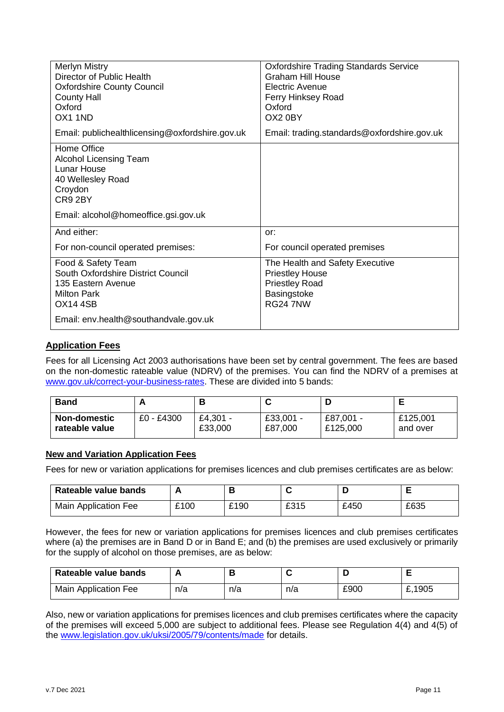| Merlyn Mistry<br>Director of Public Health<br><b>Oxfordshire County Council</b><br><b>County Hall</b><br>Oxford<br>OX1 1ND                            | <b>Oxfordshire Trading Standards Service</b><br><b>Graham Hill House</b><br>Electric Avenue<br>Ferry Hinksey Road<br>Oxford<br>OX2 0BY |
|-------------------------------------------------------------------------------------------------------------------------------------------------------|----------------------------------------------------------------------------------------------------------------------------------------|
| Email: publichealthlicensing@oxfordshire.gov.uk                                                                                                       | Email: trading.standards@oxfordshire.gov.uk                                                                                            |
| Home Office<br><b>Alcohol Licensing Team</b><br><b>Lunar House</b><br>40 Wellesley Road<br>Croydon<br>CR9 2BY<br>Email: alcohol@homeoffice.gsi.gov.uk |                                                                                                                                        |
| And either:                                                                                                                                           | or:                                                                                                                                    |
| For non-council operated premises:                                                                                                                    | For council operated premises                                                                                                          |
| Food & Safety Team<br>South Oxfordshire District Council<br>135 Eastern Avenue<br><b>Milton Park</b><br><b>OX14 4SB</b>                               | The Health and Safety Executive<br><b>Priestley House</b><br><b>Priestley Road</b><br>Basingstoke<br><b>RG24 7NW</b>                   |
| Email: env.health@southandvale.gov.uk                                                                                                                 |                                                                                                                                        |

# <span id="page-10-0"></span>**Application Fees**

Fees for all Licensing Act 2003 authorisations have been set by central government. The fees are based on the non-domestic rateable value (NDRV) of the premises. You can find the NDRV of a premises at [www.gov.uk/correct-your-business-rates.](http://www.gov.uk/correct-your-business-rates) These are divided into 5 bands:

| <b>Band</b>         |            |          |             |           |          |
|---------------------|------------|----------|-------------|-----------|----------|
| <b>Non-domestic</b> | £0 - £4300 | £4,301 - | $£33,001 -$ | £87,001 - | £125,001 |
| rateable value      |            | £33,000  | £87,000     | £125,000  | and over |

#### **New and Variation Application Fees**

Fees for new or variation applications for premises licences and club premises certificates are as below:

| Rateable value bands |      |      |      |      |      |
|----------------------|------|------|------|------|------|
| Main Application Fee | £100 | £190 | £315 | £450 | £635 |

However, the fees for new or variation applications for premises licences and club premises certificates where (a) the premises are in Band D or in Band E; and (b) the premises are used exclusively or primarily for the supply of alcohol on those premises, are as below:

| Rateable value bands |     |     |     |      |        |
|----------------------|-----|-----|-----|------|--------|
| Main Application Fee | n/a | n/a | n/a | £900 | £,1905 |

Also, new or variation applications for premises licences and club premises certificates where the capacity of the premises will exceed 5,000 are subject to additional fees. Please see Regulation 4(4) and 4(5) of the [www.legislation.gov.uk/uksi/2005/79/contents/made](https://www.legislation.gov.uk/uksi/2005/79/contents/made) for details.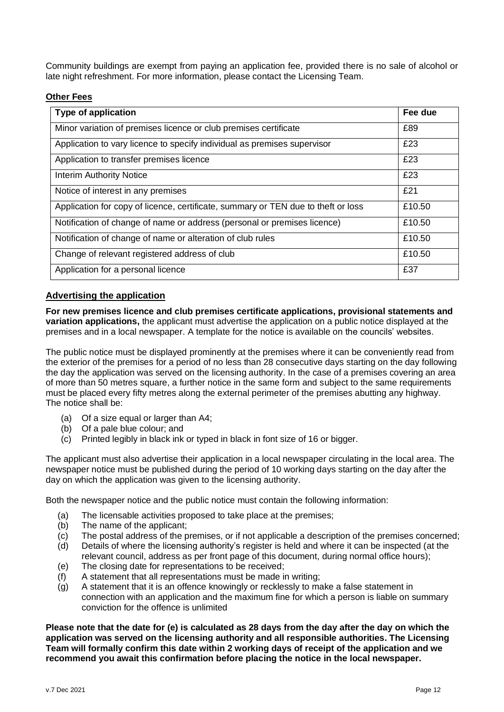Community buildings are exempt from paying an application fee, provided there is no sale of alcohol or late night refreshment. For more information, please contact the Licensing Team.

### **Other Fees**

| <b>Type of application</b>                                                        | Fee due |
|-----------------------------------------------------------------------------------|---------|
| Minor variation of premises licence or club premises certificate                  | £89     |
| Application to vary licence to specify individual as premises supervisor          | £23     |
| Application to transfer premises licence                                          | £23     |
| <b>Interim Authority Notice</b>                                                   | £23     |
| Notice of interest in any premises                                                | £21     |
| Application for copy of licence, certificate, summary or TEN due to theft or loss | £10.50  |
| Notification of change of name or address (personal or premises licence)          | £10.50  |
| Notification of change of name or alteration of club rules                        | £10.50  |
| Change of relevant registered address of club                                     | £10.50  |
| Application for a personal licence                                                | £37     |

#### <span id="page-11-0"></span>**Advertising the application**

**For new premises licence and club premises certificate applications, provisional statements and variation applications,** the applicant must advertise the application on a public notice displayed at the premises and in a local newspaper. A template for the notice is available on the councils' websites.

The public notice must be displayed prominently at the premises where it can be conveniently read from the exterior of the premises for a period of no less than 28 consecutive days starting on the day following the day the application was served on the licensing authority. In the case of a premises covering an area of more than 50 metres square, a further notice in the same form and subject to the same requirements must be placed every fifty metres along the external perimeter of the premises abutting any highway. The notice shall be:

- (a) Of a size equal or larger than A4;
- (b) Of a pale blue colour; and
- (c) Printed legibly in black ink or typed in black in font size of 16 or bigger.

The applicant must also advertise their application in a local newspaper circulating in the local area. The newspaper notice must be published during the period of 10 working days starting on the day after the day on which the application was given to the licensing authority.

Both the newspaper notice and the public notice must contain the following information:

- (a) The licensable activities proposed to take place at the premises;
- (b) The name of the applicant;
- (c) The postal address of the premises, or if not applicable a description of the premises concerned;
- (d) Details of where the licensing authority's register is held and where it can be inspected (at the relevant council, address as per front page of this document, during normal office hours);
- (e) The closing date for representations to be received;
- (f) A statement that all representations must be made in writing;
- (g) A statement that it is an offence knowingly or recklessly to make a false statement in connection with an application and the maximum fine for which a person is liable on summary conviction for the offence is unlimited

**Please note that the date for (e) is calculated as 28 days from the day after the day on which the application was served on the licensing authority and all responsible authorities. The Licensing Team will formally confirm this date within 2 working days of receipt of the application and we recommend you await this confirmation before placing the notice in the local newspaper.**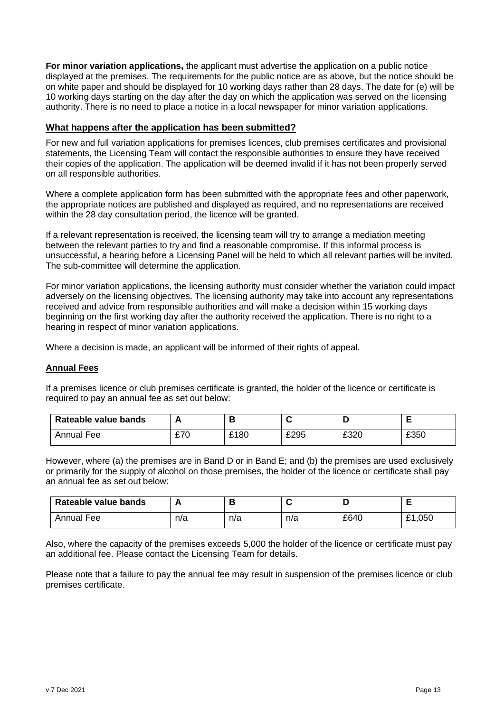**For minor variation applications,** the applicant must advertise the application on a public notice displayed at the premises. The requirements for the public notice are as above, but the notice should be on white paper and should be displayed for 10 working days rather than 28 days. The date for (e) will be 10 working days starting on the day after the day on which the application was served on the licensing authority. There is no need to place a notice in a local newspaper for minor variation applications.

#### <span id="page-12-0"></span>**What happens after the application has been submitted?**

For new and full variation applications for premises licences, club premises certificates and provisional statements, the Licensing Team will contact the responsible authorities to ensure they have received their copies of the application. The application will be deemed invalid if it has not been properly served on all responsible authorities.

Where a complete application form has been submitted with the appropriate fees and other paperwork, the appropriate notices are published and displayed as required, and no representations are received within the 28 day consultation period, the licence will be granted.

If a relevant representation is received, the licensing team will try to arrange a mediation meeting between the relevant parties to try and find a reasonable compromise. If this informal process is unsuccessful, a hearing before a Licensing Panel will be held to which all relevant parties will be invited. The sub-committee will determine the application.

For minor variation applications, the licensing authority must consider whether the variation could impact adversely on the licensing objectives. The licensing authority may take into account any representations received and advice from responsible authorities and will make a decision within 15 working days beginning on the first working day after the authority received the application. There is no right to a hearing in respect of minor variation applications.

Where a decision is made, an applicant will be informed of their rights of appeal.

#### <span id="page-12-1"></span>**Annual Fees**

If a premises licence or club premises certificate is granted, the holder of the licence or certificate is required to pay an annual fee as set out below:

| Rateable value bands |             |      |      | н    |      |
|----------------------|-------------|------|------|------|------|
| Annual<br>Fee        | rzr<br>21 U | £180 | £295 | £320 | £350 |

However, where (a) the premises are in Band D or in Band E; and (b) the premises are used exclusively or primarily for the supply of alcohol on those premises, the holder of the licence or certificate shall pay an annual fee as set out below:

| Rateable value bands |     |     |     |      |                      |
|----------------------|-----|-----|-----|------|----------------------|
| Annual<br>Fee        | n/a | n/a | n/a | £640 | 050, ا<br>$^{\circ}$ |

Also, where the capacity of the premises exceeds 5,000 the holder of the licence or certificate must pay an additional fee. Please contact the Licensing Team for details.

<span id="page-12-2"></span>Please note that a failure to pay the annual fee may result in suspension of the premises licence or club premises certificate.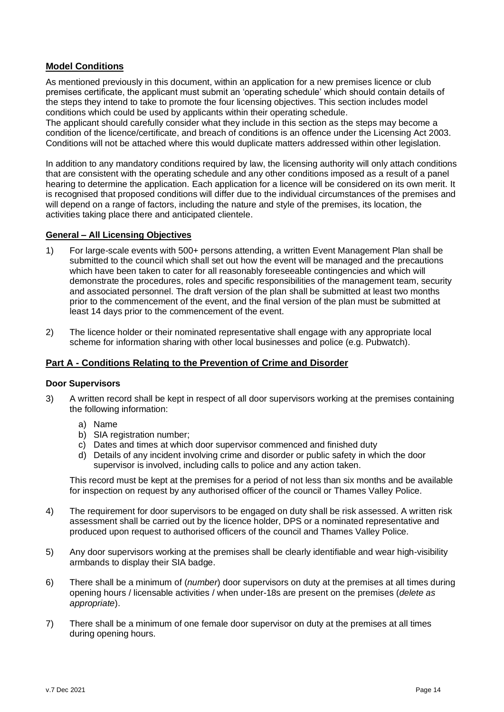# **Model Conditions**

As mentioned previously in this document, within an application for a new premises licence or club premises certificate, the applicant must submit an 'operating schedule' which should contain details of the steps they intend to take to promote the four licensing objectives. This section includes model conditions which could be used by applicants within their operating schedule.

The applicant should carefully consider what they include in this section as the steps may become a condition of the licence/certificate, and breach of conditions is an offence under the Licensing Act 2003. Conditions will not be attached where this would duplicate matters addressed within other legislation.

In addition to any mandatory conditions required by law, the licensing authority will only attach conditions that are consistent with the operating schedule and any other conditions imposed as a result of a panel hearing to determine the application. Each application for a licence will be considered on its own merit. It is recognised that proposed conditions will differ due to the individual circumstances of the premises and will depend on a range of factors, including the nature and style of the premises, its location, the activities taking place there and anticipated clientele.

#### **General – All Licensing Objectives**

- 1) For large-scale events with 500+ persons attending, a written Event Management Plan shall be submitted to the council which shall set out how the event will be managed and the precautions which have been taken to cater for all reasonably foreseeable contingencies and which will demonstrate the procedures, roles and specific responsibilities of the management team, security and associated personnel. The draft version of the plan shall be submitted at least two months prior to the commencement of the event, and the final version of the plan must be submitted at least 14 days prior to the commencement of the event.
- 2) The licence holder or their nominated representative shall engage with any appropriate local scheme for information sharing with other local businesses and police (e.g. Pubwatch).

# <span id="page-13-0"></span>**Part A - Conditions Relating to the Prevention of Crime and Disorder**

#### **Door Supervisors**

- 3) A written record shall be kept in respect of all door supervisors working at the premises containing the following information:
	- a) Name
	- b) SIA registration number:
	- c) Dates and times at which door supervisor commenced and finished duty
	- d) Details of any incident involving crime and disorder or public safety in which the door supervisor is involved, including calls to police and any action taken.

This record must be kept at the premises for a period of not less than six months and be available for inspection on request by any authorised officer of the council or Thames Valley Police.

- 4) The requirement for door supervisors to be engaged on duty shall be risk assessed. A written risk assessment shall be carried out by the licence holder, DPS or a nominated representative and produced upon request to authorised officers of the council and Thames Valley Police.
- 5) Any door supervisors working at the premises shall be clearly identifiable and wear high-visibility armbands to display their SIA badge.
- 6) There shall be a minimum of (*number*) door supervisors on duty at the premises at all times during opening hours / licensable activities / when under-18s are present on the premises (*delete as appropriate*).
- 7) There shall be a minimum of one female door supervisor on duty at the premises at all times during opening hours.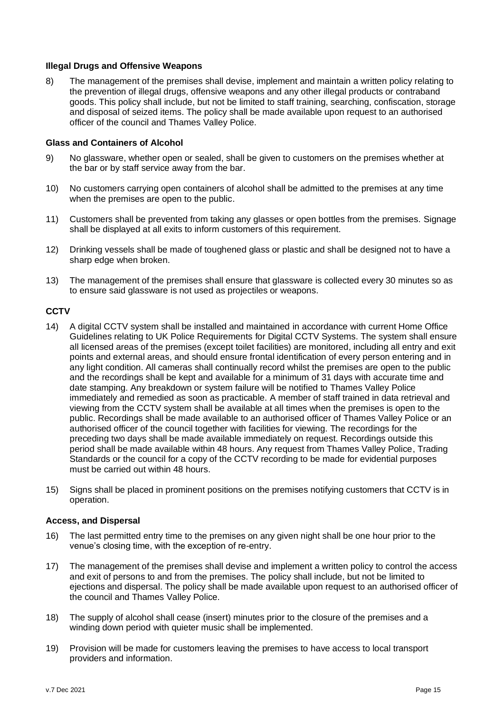#### **Illegal Drugs and Offensive Weapons**

8) The management of the premises shall devise, implement and maintain a written policy relating to the prevention of illegal drugs, offensive weapons and any other illegal products or contraband goods. This policy shall include, but not be limited to staff training, searching, confiscation, storage and disposal of seized items. The policy shall be made available upon request to an authorised officer of the council and Thames Valley Police.

#### **Glass and Containers of Alcohol**

- 9) No glassware, whether open or sealed, shall be given to customers on the premises whether at the bar or by staff service away from the bar.
- 10) No customers carrying open containers of alcohol shall be admitted to the premises at any time when the premises are open to the public.
- 11) Customers shall be prevented from taking any glasses or open bottles from the premises. Signage shall be displayed at all exits to inform customers of this requirement.
- 12) Drinking vessels shall be made of toughened glass or plastic and shall be designed not to have a sharp edge when broken.
- 13) The management of the premises shall ensure that glassware is collected every 30 minutes so as to ensure said glassware is not used as projectiles or weapons.

#### **CCTV**

- 14) A digital CCTV system shall be installed and maintained in accordance with current Home Office Guidelines relating to UK Police Requirements for Digital CCTV Systems. The system shall ensure all licensed areas of the premises (except toilet facilities) are monitored, including all entry and exit points and external areas, and should ensure frontal identification of every person entering and in any light condition. All cameras shall continually record whilst the premises are open to the public and the recordings shall be kept and available for a minimum of 31 days with accurate time and date stamping. Any breakdown or system failure will be notified to Thames Valley Police immediately and remedied as soon as practicable. A member of staff trained in data retrieval and viewing from the CCTV system shall be available at all times when the premises is open to the public. Recordings shall be made available to an authorised officer of Thames Valley Police or an authorised officer of the council together with facilities for viewing. The recordings for the preceding two days shall be made available immediately on request. Recordings outside this period shall be made available within 48 hours. Any request from Thames Valley Police, Trading Standards or the council for a copy of the CCTV recording to be made for evidential purposes must be carried out within 48 hours.
- 15) Signs shall be placed in prominent positions on the premises notifying customers that CCTV is in operation.

#### **Access, and Dispersal**

- 16) The last permitted entry time to the premises on any given night shall be one hour prior to the venue's closing time, with the exception of re-entry.
- 17) The management of the premises shall devise and implement a written policy to control the access and exit of persons to and from the premises. The policy shall include, but not be limited to ejections and dispersal. The policy shall be made available upon request to an authorised officer of the council and Thames Valley Police.
- 18) The supply of alcohol shall cease (insert) minutes prior to the closure of the premises and a winding down period with quieter music shall be implemented.
- 19) Provision will be made for customers leaving the premises to have access to local transport providers and information.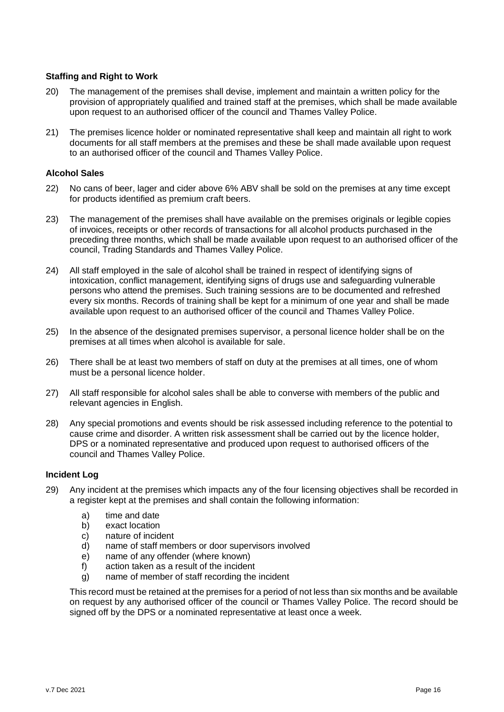#### **Staffing and Right to Work**

- 20) The management of the premises shall devise, implement and maintain a written policy for the provision of appropriately qualified and trained staff at the premises, which shall be made available upon request to an authorised officer of the council and Thames Valley Police.
- 21) The premises licence holder or nominated representative shall keep and maintain all right to work documents for all staff members at the premises and these be shall made available upon request to an authorised officer of the council and Thames Valley Police.

#### **Alcohol Sales**

- 22) No cans of beer, lager and cider above 6% ABV shall be sold on the premises at any time except for products identified as premium craft beers.
- 23) The management of the premises shall have available on the premises originals or legible copies of invoices, receipts or other records of transactions for all alcohol products purchased in the preceding three months, which shall be made available upon request to an authorised officer of the council, Trading Standards and Thames Valley Police.
- 24) All staff employed in the sale of alcohol shall be trained in respect of identifying signs of intoxication, conflict management, identifying signs of drugs use and safeguarding vulnerable persons who attend the premises. Such training sessions are to be documented and refreshed every six months. Records of training shall be kept for a minimum of one year and shall be made available upon request to an authorised officer of the council and Thames Valley Police.
- 25) In the absence of the designated premises supervisor, a personal licence holder shall be on the premises at all times when alcohol is available for sale.
- 26) There shall be at least two members of staff on duty at the premises at all times, one of whom must be a personal licence holder.
- 27) All staff responsible for alcohol sales shall be able to converse with members of the public and relevant agencies in English.
- 28) Any special promotions and events should be risk assessed including reference to the potential to cause crime and disorder. A written risk assessment shall be carried out by the licence holder, DPS or a nominated representative and produced upon request to authorised officers of the council and Thames Valley Police.

#### **Incident Log**

- 29) Any incident at the premises which impacts any of the four licensing objectives shall be recorded in a register kept at the premises and shall contain the following information:
	- a) time and date
	- b) exact location
	- c) nature of incident
	- d) name of staff members or door supervisors involved
	- e) name of any offender (where known)
	- f) action taken as a result of the incident
	- g) name of member of staff recording the incident

<span id="page-15-0"></span>This record must be retained at the premises for a period of not less than six months and be available on request by any authorised officer of the council or Thames Valley Police. The record should be signed off by the DPS or a nominated representative at least once a week.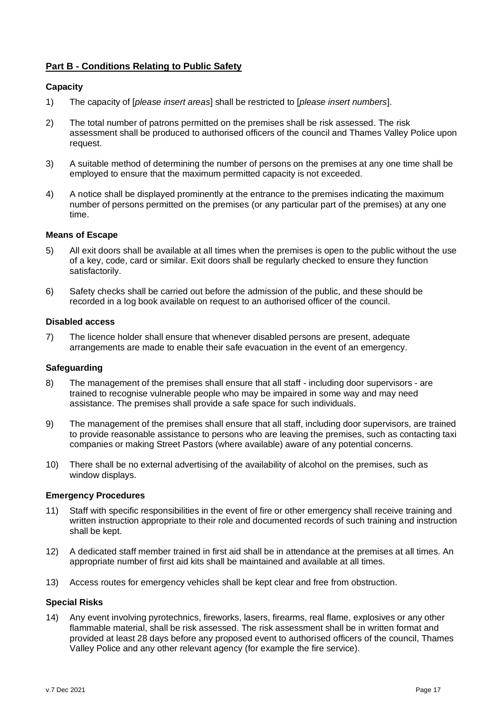# **Part B - Conditions Relating to Public Safety**

#### **Capacity**

- 1) The capacity of [*please insert areas*] shall be restricted to [*please insert numbers*].
- 2) The total number of patrons permitted on the premises shall be risk assessed. The risk assessment shall be produced to authorised officers of the council and Thames Valley Police upon request.
- 3) A suitable method of determining the number of persons on the premises at any one time shall be employed to ensure that the maximum permitted capacity is not exceeded.
- 4) A notice shall be displayed prominently at the entrance to the premises indicating the maximum number of persons permitted on the premises (or any particular part of the premises) at any one time.

#### **Means of Escape**

- 5) All exit doors shall be available at all times when the premises is open to the public without the use of a key, code, card or similar. Exit doors shall be regularly checked to ensure they function satisfactorily.
- 6) Safety checks shall be carried out before the admission of the public, and these should be recorded in a log book available on request to an authorised officer of the council.

#### **Disabled access**

7) The licence holder shall ensure that whenever disabled persons are present, adequate arrangements are made to enable their safe evacuation in the event of an emergency.

#### **Safeguarding**

- 8) The management of the premises shall ensure that all staff including door supervisors are trained to recognise vulnerable people who may be impaired in some way and may need assistance. The premises shall provide a safe space for such individuals.
- 9) The management of the premises shall ensure that all staff, including door supervisors, are trained to provide reasonable assistance to persons who are leaving the premises, such as contacting taxi companies or making Street Pastors (where available) aware of any potential concerns.
- 10) There shall be no external advertising of the availability of alcohol on the premises, such as window displays.

#### **Emergency Procedures**

- 11) Staff with specific responsibilities in the event of fire or other emergency shall receive training and written instruction appropriate to their role and documented records of such training and instruction shall be kept.
- 12) A dedicated staff member trained in first aid shall be in attendance at the premises at all times. An appropriate number of first aid kits shall be maintained and available at all times.
- 13) Access routes for emergency vehicles shall be kept clear and free from obstruction.

#### **Special Risks**

14) Any event involving pyrotechnics, fireworks, lasers, firearms, real flame, explosives or any other flammable material, shall be risk assessed. The risk assessment shall be in written format and provided at least 28 days before any proposed event to authorised officers of the council, Thames Valley Police and any other relevant agency (for example the fire service).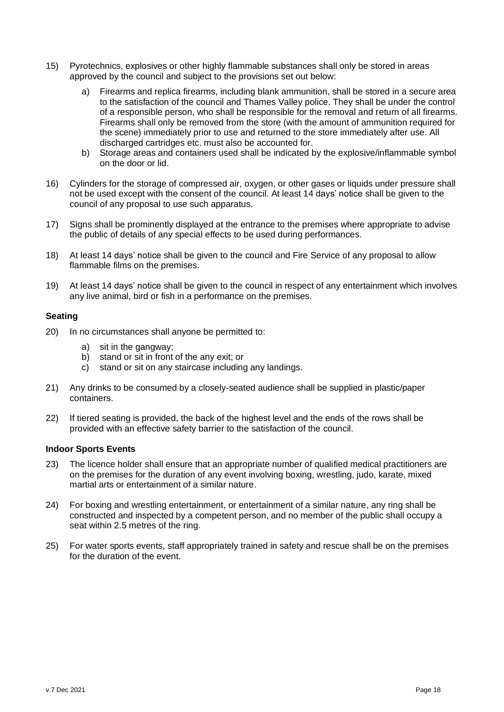- 15) Pyrotechnics, explosives or other highly flammable substances shall only be stored in areas approved by the council and subject to the provisions set out below:
	- a) Firearms and replica firearms, including blank ammunition, shall be stored in a secure area to the satisfaction of the council and Thames Valley police. They shall be under the control of a responsible person, who shall be responsible for the removal and return of all firearms. Firearms shall only be removed from the store (with the amount of ammunition required for the scene) immediately prior to use and returned to the store immediately after use. All discharged cartridges etc. must also be accounted for.
	- b) Storage areas and containers used shall be indicated by the explosive/inflammable symbol on the door or lid.
- 16) Cylinders for the storage of compressed air, oxygen, or other gases or liquids under pressure shall not be used except with the consent of the council. At least 14 days' notice shall be given to the council of any proposal to use such apparatus.
- 17) Signs shall be prominently displayed at the entrance to the premises where appropriate to advise the public of details of any special effects to be used during performances.
- 18) At least 14 days' notice shall be given to the council and Fire Service of any proposal to allow flammable films on the premises.
- 19) At least 14 days' notice shall be given to the council in respect of any entertainment which involves any live animal, bird or fish in a performance on the premises.

#### **Seating**

- 20) In no circumstances shall anyone be permitted to:
	- a) sit in the gangway;
	- b) stand or sit in front of the any exit; or
	- c) stand or sit on any staircase including any landings.
- 21) Any drinks to be consumed by a closely-seated audience shall be supplied in plastic/paper containers.
- 22) If tiered seating is provided, the back of the highest level and the ends of the rows shall be provided with an effective safety barrier to the satisfaction of the council.

#### **Indoor Sports Events**

- 23) The licence holder shall ensure that an appropriate number of qualified medical practitioners are on the premises for the duration of any event involving boxing, wrestling, judo, karate, mixed martial arts or entertainment of a similar nature.
- 24) For boxing and wrestling entertainment, or entertainment of a similar nature, any ring shall be constructed and inspected by a competent person, and no member of the public shall occupy a seat within 2.5 metres of the ring.
- <span id="page-17-0"></span>25) For water sports events, staff appropriately trained in safety and rescue shall be on the premises for the duration of the event.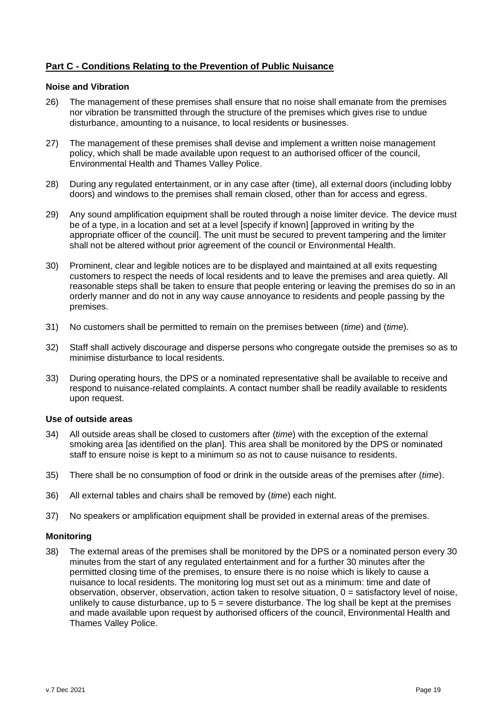# **Part C - Conditions Relating to the Prevention of Public Nuisance**

#### **Noise and Vibration**

- 26) The management of these premises shall ensure that no noise shall emanate from the premises nor vibration be transmitted through the structure of the premises which gives rise to undue disturbance, amounting to a nuisance, to local residents or businesses.
- 27) The management of these premises shall devise and implement a written noise management policy, which shall be made available upon request to an authorised officer of the council, Environmental Health and Thames Valley Police.
- 28) During any regulated entertainment, or in any case after (time), all external doors (including lobby doors) and windows to the premises shall remain closed, other than for access and egress.
- 29) Any sound amplification equipment shall be routed through a noise limiter device. The device must be of a type, in a location and set at a level [specify if known] [approved in writing by the appropriate officer of the council]. The unit must be secured to prevent tampering and the limiter shall not be altered without prior agreement of the council or Environmental Health.
- 30) Prominent, clear and legible notices are to be displayed and maintained at all exits requesting customers to respect the needs of local residents and to leave the premises and area quietly. All reasonable steps shall be taken to ensure that people entering or leaving the premises do so in an orderly manner and do not in any way cause annoyance to residents and people passing by the premises.
- 31) No customers shall be permitted to remain on the premises between (*time*) and (*time*).
- 32) Staff shall actively discourage and disperse persons who congregate outside the premises so as to minimise disturbance to local residents.
- 33) During operating hours, the DPS or a nominated representative shall be available to receive and respond to nuisance-related complaints. A contact number shall be readily available to residents upon request.

#### **Use of outside areas**

- 34) All outside areas shall be closed to customers after (*time*) with the exception of the external smoking area [as identified on the plan]. This area shall be monitored by the DPS or nominated staff to ensure noise is kept to a minimum so as not to cause nuisance to residents.
- 35) There shall be no consumption of food or drink in the outside areas of the premises after (*time*).
- 36) All external tables and chairs shall be removed by (*time*) each night.
- 37) No speakers or amplification equipment shall be provided in external areas of the premises.

#### **Monitoring**

38) The external areas of the premises shall be monitored by the DPS or a nominated person every 30 minutes from the start of any regulated entertainment and for a further 30 minutes after the permitted closing time of the premises, to ensure there is no noise which is likely to cause a nuisance to local residents. The monitoring log must set out as a minimum: time and date of observation, observer, observation, action taken to resolve situation, 0 = satisfactory level of noise, unlikely to cause disturbance, up to  $5 =$  severe disturbance. The log shall be kept at the premises and made available upon request by authorised officers of the council, Environmental Health and Thames Valley Police.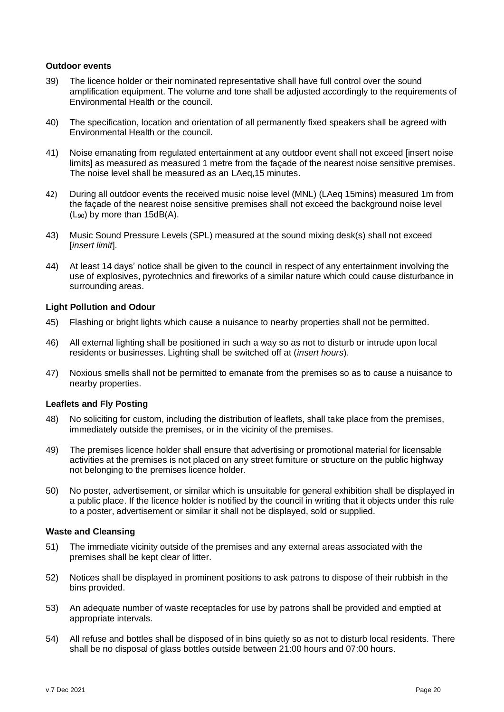#### **Outdoor events**

- 39) The licence holder or their nominated representative shall have full control over the sound amplification equipment. The volume and tone shall be adjusted accordingly to the requirements of Environmental Health or the council.
- 40) The specification, location and orientation of all permanently fixed speakers shall be agreed with Environmental Health or the council.
- 41) Noise emanating from regulated entertainment at any outdoor event shall not exceed [insert noise limits] as measured as measured 1 metre from the façade of the nearest noise sensitive premises. The noise level shall be measured as an LAeq,15 minutes.
- 42) During all outdoor events the received music noise level (MNL) (LAeq 15mins) measured 1m from the façade of the nearest noise sensitive premises shall not exceed the background noise level  $(L_{90})$  by more than 15dB(A).
- 43) Music Sound Pressure Levels (SPL) measured at the sound mixing desk(s) shall not exceed [*insert limit*].
- 44) At least 14 days' notice shall be given to the council in respect of any entertainment involving the use of explosives, pyrotechnics and fireworks of a similar nature which could cause disturbance in surrounding areas.

#### **Light Pollution and Odour**

- 45) Flashing or bright lights which cause a nuisance to nearby properties shall not be permitted.
- 46) All external lighting shall be positioned in such a way so as not to disturb or intrude upon local residents or businesses. Lighting shall be switched off at (*insert hours*).
- 47) Noxious smells shall not be permitted to emanate from the premises so as to cause a nuisance to nearby properties.

#### **Leaflets and Fly Posting**

- 48) No soliciting for custom, including the distribution of leaflets, shall take place from the premises, immediately outside the premises, or in the vicinity of the premises.
- 49) The premises licence holder shall ensure that advertising or promotional material for licensable activities at the premises is not placed on any street furniture or structure on the public highway not belonging to the premises licence holder.
- 50) No poster, advertisement, or similar which is unsuitable for general exhibition shall be displayed in a public place. If the licence holder is notified by the council in writing that it objects under this rule to a poster, advertisement or similar it shall not be displayed, sold or supplied.

#### **Waste and Cleansing**

- 51) The immediate vicinity outside of the premises and any external areas associated with the premises shall be kept clear of litter.
- 52) Notices shall be displayed in prominent positions to ask patrons to dispose of their rubbish in the bins provided.
- 53) An adequate number of waste receptacles for use by patrons shall be provided and emptied at appropriate intervals.
- 54) All refuse and bottles shall be disposed of in bins quietly so as not to disturb local residents. There shall be no disposal of glass bottles outside between 21:00 hours and 07:00 hours.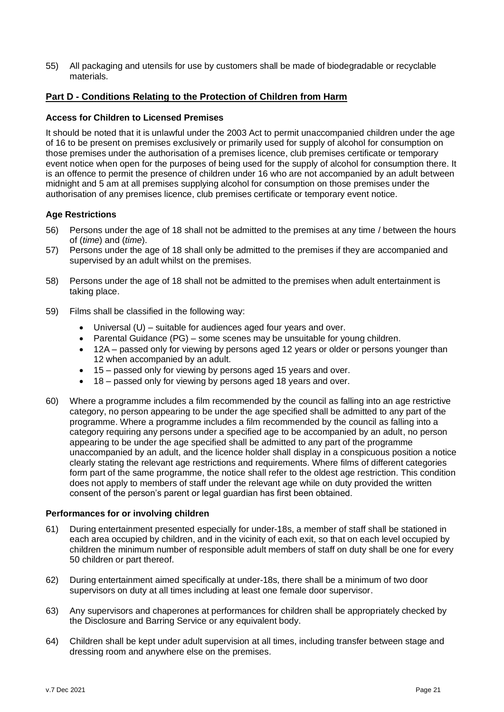55) All packaging and utensils for use by customers shall be made of biodegradable or recyclable materials.

### <span id="page-20-0"></span>**Part D - Conditions Relating to the Protection of Children from Harm**

#### **Access for Children to Licensed Premises**

It should be noted that it is unlawful under the 2003 Act to permit unaccompanied children under the age of 16 to be present on premises exclusively or primarily used for supply of alcohol for consumption on those premises under the authorisation of a premises licence, club premises certificate or temporary event notice when open for the purposes of being used for the supply of alcohol for consumption there. It is an offence to permit the presence of children under 16 who are not accompanied by an adult between midnight and 5 am at all premises supplying alcohol for consumption on those premises under the authorisation of any premises licence, club premises certificate or temporary event notice.

#### **Age Restrictions**

- 56) Persons under the age of 18 shall not be admitted to the premises at any time / between the hours of (*time*) and (*time*).
- 57) Persons under the age of 18 shall only be admitted to the premises if they are accompanied and supervised by an adult whilst on the premises.
- 58) Persons under the age of 18 shall not be admitted to the premises when adult entertainment is taking place.
- 59) Films shall be classified in the following way:
	- Universal  $(U)$  suitable for audiences aged four years and over.
	- Parental Guidance (PG) some scenes may be unsuitable for young children.
	- 12A passed only for viewing by persons aged 12 years or older or persons younger than 12 when accompanied by an adult.
	- 15 passed only for viewing by persons aged 15 years and over.
	- 18 passed only for viewing by persons aged 18 years and over.
- 60) Where a programme includes a film recommended by the council as falling into an age restrictive category, no person appearing to be under the age specified shall be admitted to any part of the programme. Where a programme includes a film recommended by the council as falling into a category requiring any persons under a specified age to be accompanied by an adult, no person appearing to be under the age specified shall be admitted to any part of the programme unaccompanied by an adult, and the licence holder shall display in a conspicuous position a notice clearly stating the relevant age restrictions and requirements. Where films of different categories form part of the same programme, the notice shall refer to the oldest age restriction. This condition does not apply to members of staff under the relevant age while on duty provided the written consent of the person's parent or legal guardian has first been obtained.

#### **Performances for or involving children**

- 61) During entertainment presented especially for under-18s, a member of staff shall be stationed in each area occupied by children, and in the vicinity of each exit, so that on each level occupied by children the minimum number of responsible adult members of staff on duty shall be one for every 50 children or part thereof.
- 62) During entertainment aimed specifically at under-18s, there shall be a minimum of two door supervisors on duty at all times including at least one female door supervisor.
- 63) Any supervisors and chaperones at performances for children shall be appropriately checked by the Disclosure and Barring Service or any equivalent body.
- 64) Children shall be kept under adult supervision at all times, including transfer between stage and dressing room and anywhere else on the premises.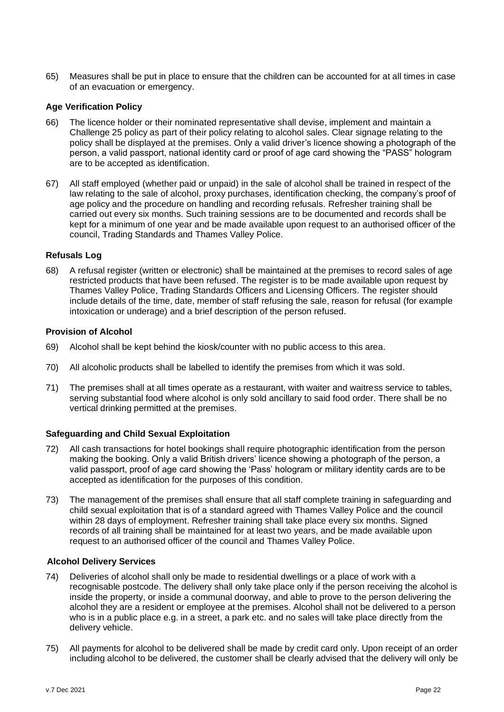65) Measures shall be put in place to ensure that the children can be accounted for at all times in case of an evacuation or emergency.

#### **Age Verification Policy**

- 66) The licence holder or their nominated representative shall devise, implement and maintain a Challenge 25 policy as part of their policy relating to alcohol sales. Clear signage relating to the policy shall be displayed at the premises. Only a valid driver's licence showing a photograph of the person, a valid passport, national identity card or proof of age card showing the "PASS" hologram are to be accepted as identification.
- 67) All staff employed (whether paid or unpaid) in the sale of alcohol shall be trained in respect of the law relating to the sale of alcohol, proxy purchases, identification checking, the company's proof of age policy and the procedure on handling and recording refusals. Refresher training shall be carried out every six months. Such training sessions are to be documented and records shall be kept for a minimum of one year and be made available upon request to an authorised officer of the council, Trading Standards and Thames Valley Police.

#### **Refusals Log**

68) A refusal register (written or electronic) shall be maintained at the premises to record sales of age restricted products that have been refused. The register is to be made available upon request by Thames Valley Police, Trading Standards Officers and Licensing Officers. The register should include details of the time, date, member of staff refusing the sale, reason for refusal (for example intoxication or underage) and a brief description of the person refused.

#### **Provision of Alcohol**

- 69) Alcohol shall be kept behind the kiosk/counter with no public access to this area.
- 70) All alcoholic products shall be labelled to identify the premises from which it was sold.
- 71) The premises shall at all times operate as a restaurant, with waiter and waitress service to tables, serving substantial food where alcohol is only sold ancillary to said food order. There shall be no vertical drinking permitted at the premises.

#### **Safeguarding and Child Sexual Exploitation**

- 72) All cash transactions for hotel bookings shall require photographic identification from the person making the booking. Only a valid British drivers' licence showing a photograph of the person, a valid passport, proof of age card showing the 'Pass' hologram or military identity cards are to be accepted as identification for the purposes of this condition.
- 73) The management of the premises shall ensure that all staff complete training in safeguarding and child sexual exploitation that is of a standard agreed with Thames Valley Police and the council within 28 days of employment. Refresher training shall take place every six months. Signed records of all training shall be maintained for at least two years, and be made available upon request to an authorised officer of the council and Thames Valley Police.

### **Alcohol Delivery Services**

- 74) Deliveries of alcohol shall only be made to residential dwellings or a place of work with a recognisable postcode. The delivery shall only take place only if the person receiving the alcohol is inside the property, or inside a communal doorway, and able to prove to the person delivering the alcohol they are a resident or employee at the premises. Alcohol shall not be delivered to a person who is in a public place e.g. in a street, a park etc. and no sales will take place directly from the delivery vehicle.
- 75) All payments for alcohol to be delivered shall be made by credit card only. Upon receipt of an order including alcohol to be delivered, the customer shall be clearly advised that the delivery will only be